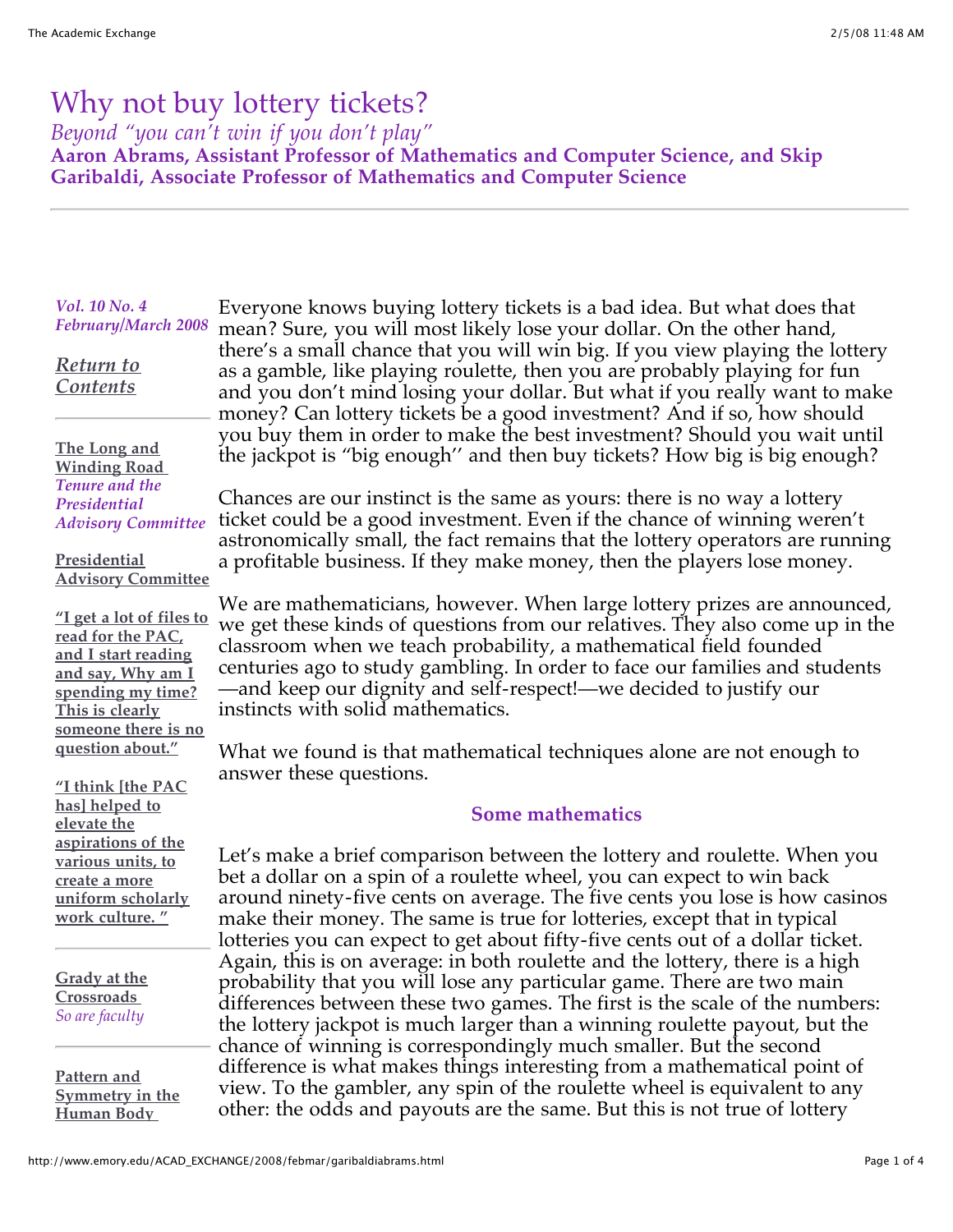# Why not buy lottery tickets?

*Beyond "you can't win if you don't play"*

**Aaron Abrams, Assistant Professor of Mathematics and Computer Science, and Skip Garibaldi, Associate Professor of Mathematics and Computer Science**

### *Vol. 10 No. 4 February/March 2008*

*[Return to](http://www.emory.edu/ACAD_EXCHANGE) Contents*

#### **The Long and [Winding Road](http://www.emory.edu/ACAD_EXCHANGE/2008/febmar/lead.html)**  *Tenure and the Presidential Advisory Committee*

#### **Presidential [Advisory Committee](http://www.emory.edu/ACAD_EXCHANGE/2008/febmar/sidebar.html)**

**["I get a lot of files to](http://www.emory.edu/ACAD_EXCHANGE/2008/febmar/fivushqa.html) read for the PAC, and I start reading and say, Why am I spending my time? This is clearly someone there is no question about."**

**"I think [the PAC has] helped to elevate the aspirations of the various units, to create a more [uniform scholarly](http://www.emory.edu/ACAD_EXCHANGE/2008/febmar/shanorqa.html) work culture. "**

**[Grady at the](http://www.emory.edu/ACAD_EXCHANGE/2008/febmar/kaslowparker.html) Crossroads**  *So are faculty*

**Pattern and [Symmetry in the](http://www.emory.edu/ACAD_EXCHANGE/2008/febmar/galloway.html) Human Body** 

Everyone knows buying lottery tickets is a bad idea. But what does that mean? Sure, you will most likely lose your dollar. On the other hand, there's a small chance that you will win big. If you view playing the lottery as a gamble, like playing roulette, then you are probably playing for fun and you don't mind losing your dollar. But what if you really want to make money? Can lottery tickets be a good investment? And if so, how should you buy them in order to make the best investment? Should you wait until the jackpot is "big enough'' and then buy tickets? How big is big enough?

Chances are our instinct is the same as yours: there is no way a lottery ticket could be a good investment. Even if the chance of winning weren't astronomically small, the fact remains that the lottery operators are running a profitable business. If they make money, then the players lose money.

We are mathematicians, however. When large lottery prizes are announced, we get these kinds of questions from our relatives. They also come up in the classroom when we teach probability, a mathematical field founded centuries ago to study gambling. In order to face our families and students —and keep our dignity and self-respect!—we decided to justify our instincts with solid mathematics.

What we found is that mathematical techniques alone are not enough to answer these questions.

## **Some mathematics**

Let's make a brief comparison between the lottery and roulette. When you bet a dollar on a spin of a roulette wheel, you can expect to win back around ninety-five cents on average. The five cents you lose is how casinos make their money. The same is true for lotteries, except that in typical lotteries you can expect to get about fifty-five cents out of a dollar ticket. Again, this is on average: in both roulette and the lottery, there is a high probability that you will lose any particular game. There are two main differences between these two games. The first is the scale of the numbers: the lottery jackpot is much larger than a winning roulette payout, but the chance of winning is correspondingly much smaller. But the second difference is what makes things interesting from a mathematical point of view. To the gambler, any spin of the roulette wheel is equivalent to any other: the odds and payouts are the same. But this is not true of lottery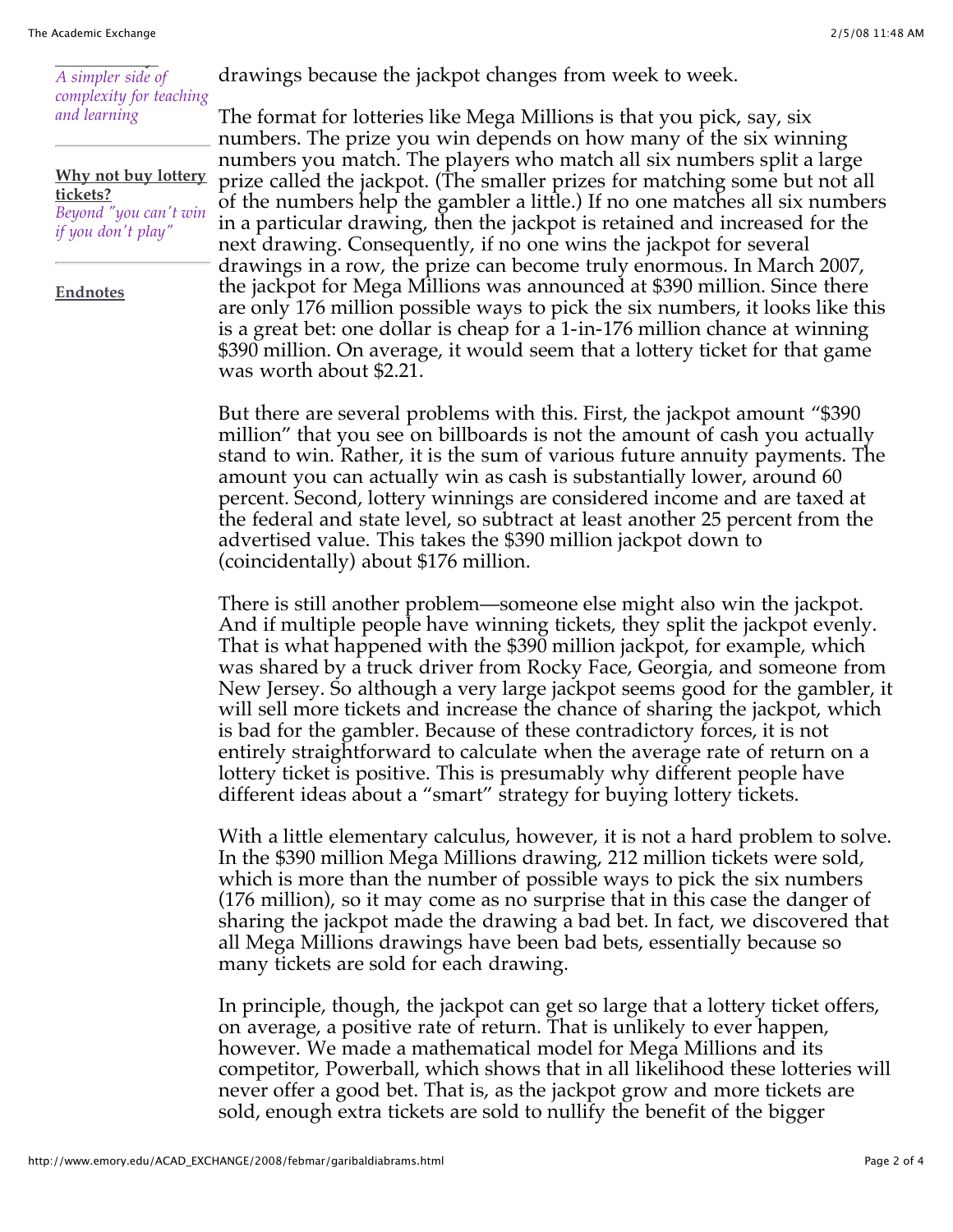#### **[Human Body](http://www.emory.edu/ACAD_EXCHANGE/2008/febmar/galloway.html)**  *A simpler side of complexity for teaching and learning*

**[Why not buy lottery](http://www.emory.edu/ACAD_EXCHANGE/2008/febmar/garibaldiabrams.html) tickets?** *Beyond "you can't win if you don't play"*

**[Endnotes](http://www.emory.edu/ACAD_EXCHANGE/2008/febmar/endnotes.html)**

drawings because the jackpot changes from week to week.

The format for lotteries like Mega Millions is that you pick, say, six numbers. The prize you win depends on how many of the six winning numbers you match. The players who match all six numbers split a large prize called the jackpot. (The smaller prizes for matching some but not all of the numbers help the gambler a little.) If no one matches all six numbers in a particular drawing, then the jackpot is retained and increased for the next drawing. Consequently, if no one wins the jackpot for several drawings in a row, the prize can become truly enormous. In March 2007, the jackpot for Mega Millions was announced at \$390 million. Since there are only 176 million possible ways to pick the six numbers, it looks like this is a great bet: one dollar is cheap for a 1-in-176 million chance at winning \$390 million. On average, it would seem that a lottery ticket for that game was worth about \$2.21.

But there are several problems with this. First, the jackpot amount "\$390 million" that you see on billboards is not the amount of cash you actually stand to win. Rather, it is the sum of various future annuity payments. The amount you can actually win as cash is substantially lower, around 60 percent. Second, lottery winnings are considered income and are taxed at the federal and state level, so subtract at least another 25 percent from the advertised value. This takes the \$390 million jackpot down to (coincidentally) about \$176 million.

There is still another problem—someone else might also win the jackpot. And if multiple people have winning tickets, they split the jackpot evenly. That is what happened with the \$390 million jackpot, for example, which was shared by a truck driver from Rocky Face, Georgia, and someone from New Jersey. So although a very large jackpot seems good for the gambler, it will sell more tickets and increase the chance of sharing the jackpot, which is bad for the gambler. Because of these contradictory forces, it is not entirely straightforward to calculate when the average rate of return on a lottery ticket is positive. This is presumably why different people have different ideas about a "smart" strategy for buying lottery tickets.

With a little elementary calculus, however, it is not a hard problem to solve. In the \$390 million Mega Millions drawing, 212 million tickets were sold, which is more than the number of possible ways to pick the six numbers (176 million), so it may come as no surprise that in this case the danger of sharing the jackpot made the drawing a bad bet. In fact, we discovered that all Mega Millions drawings have been bad bets, essentially because so many tickets are sold for each drawing.

In principle, though, the jackpot can get so large that a lottery ticket offers, on average, a positive rate of return. That is unlikely to ever happen, however. We made a mathematical model for Mega Millions and its competitor, Powerball, which shows that in all likelihood these lotteries will never offer a good bet. That is, as the jackpot grow and more tickets are sold, enough extra tickets are sold to nullify the benefit of the bigger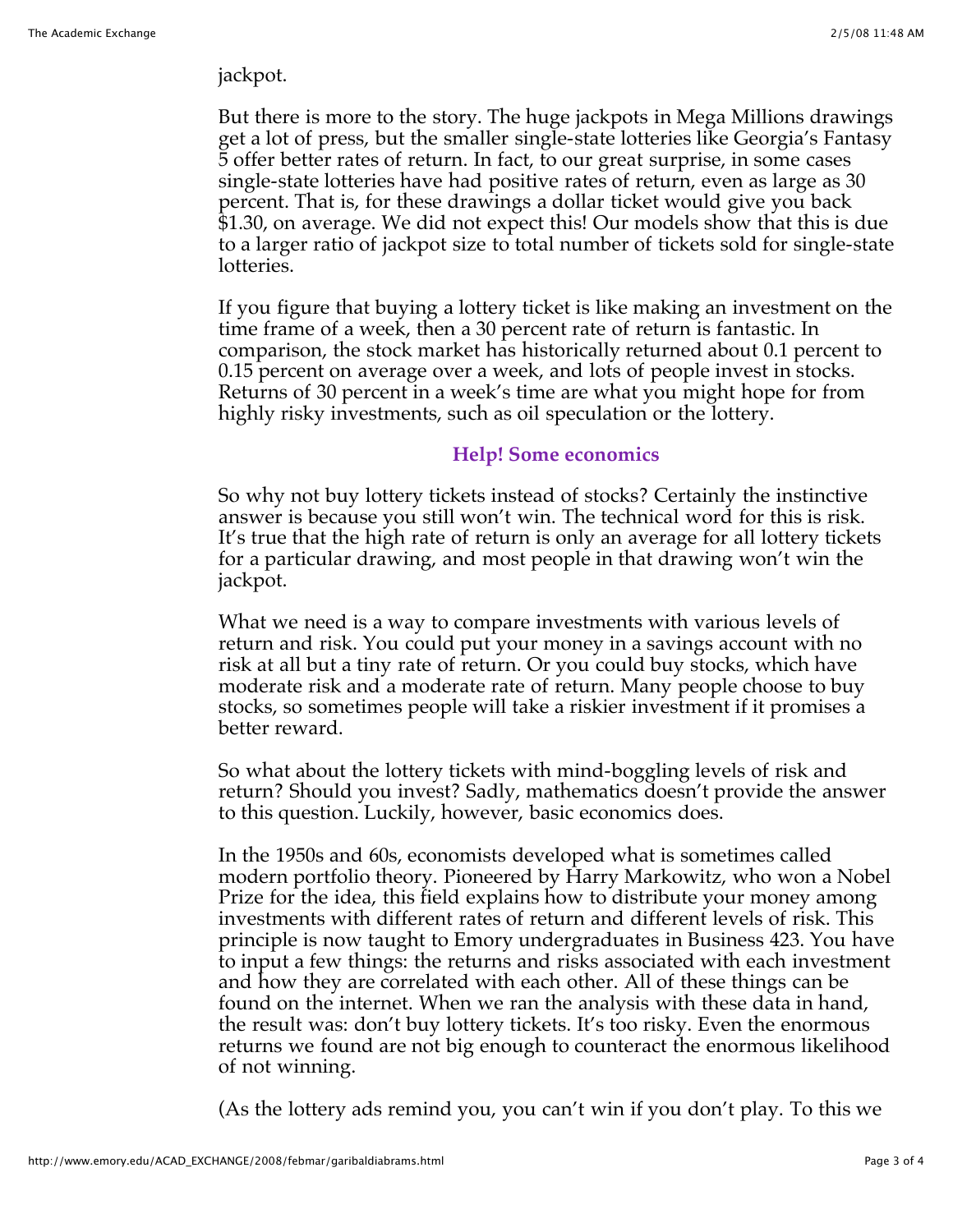## jackpot.

But there is more to the story. The huge jackpots in Mega Millions drawings get a lot of press, but the smaller single-state lotteries like Georgia's Fantasy 5 offer better rates of return. In fact, to our great surprise, in some cases single-state lotteries have had positive rates of return, even as large as 30 percent. That is, for these drawings a dollar ticket would give you back \$1.30, on average. We did not expect this! Our models show that this is due to a larger ratio of jackpot size to total number of tickets sold for single-state lotteries.

If you figure that buying a lottery ticket is like making an investment on the time frame of a week, then a 30 percent rate of return is fantastic. In comparison, the stock market has historically returned about 0.1 percent to 0.15 percent on average over a week, and lots of people invest in stocks. Returns of 30 percent in a week's time are what you might hope for from highly risky investments, such as oil speculation or the lottery.

## **Help! Some economics**

So why not buy lottery tickets instead of stocks? Certainly the instinctive answer is because you still won't win. The technical word for this is risk. It's true that the high rate of return is only an average for all lottery tickets for a particular drawing, and most people in that drawing won't win the jackpot.

What we need is a way to compare investments with various levels of return and risk. You could put your money in a savings account with no risk at all but a tiny rate of return. Or you could buy stocks, which have moderate risk and a moderate rate of return. Many people choose to buy stocks, so sometimes people will take a riskier investment if it promises a better reward.

So what about the lottery tickets with mind-boggling levels of risk and return? Should you invest? Sadly, mathematics doesn't provide the answer to this question. Luckily, however, basic economics does.

In the 1950s and 60s, economists developed what is sometimes called modern portfolio theory. Pioneered by Harry Markowitz, who won a Nobel Prize for the idea, this field explains how to distribute your money among investments with different rates of return and different levels of risk. This principle is now taught to Emory undergraduates in Business 423. You have to input a few things: the returns and risks associated with each investment and how they are correlated with each other. All of these things can be found on the internet. When we ran the analysis with these data in hand, the result was: don't buy lottery tickets. It's too risky. Even the enormous returns we found are not big enough to counteract the enormous likelihood of not winning.

(As the lottery ads remind you, you can't win if you don't play. To this we